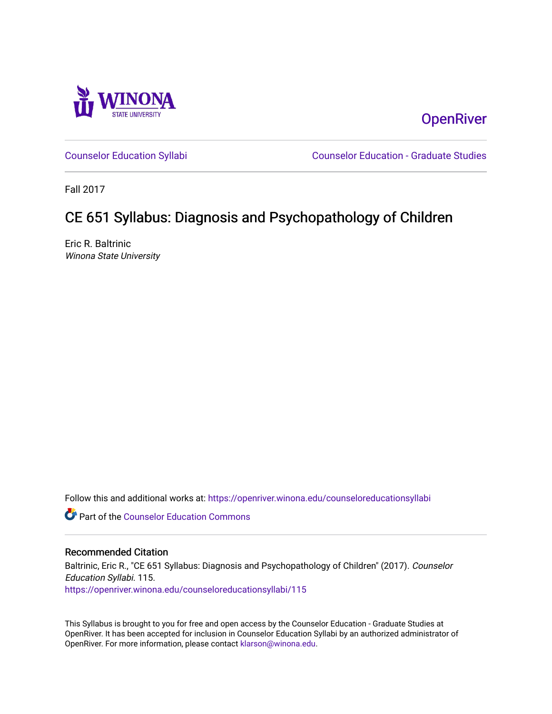

**OpenRiver** 

[Counselor Education Syllabi](https://openriver.winona.edu/counseloreducationsyllabi) [Counselor Education - Graduate Studies](https://openriver.winona.edu/counseloreducation) 

Fall 2017

# CE 651 Syllabus: Diagnosis and Psychopathology of Children

Eric R. Baltrinic Winona State University

Follow this and additional works at: [https://openriver.winona.edu/counseloreducationsyllabi](https://openriver.winona.edu/counseloreducationsyllabi?utm_source=openriver.winona.edu%2Fcounseloreducationsyllabi%2F115&utm_medium=PDF&utm_campaign=PDFCoverPages)

Part of the [Counselor Education Commons](http://network.bepress.com/hgg/discipline/1278?utm_source=openriver.winona.edu%2Fcounseloreducationsyllabi%2F115&utm_medium=PDF&utm_campaign=PDFCoverPages) 

### Recommended Citation

Baltrinic, Eric R., "CE 651 Syllabus: Diagnosis and Psychopathology of Children" (2017). Counselor Education Syllabi. 115. [https://openriver.winona.edu/counseloreducationsyllabi/115](https://openriver.winona.edu/counseloreducationsyllabi/115?utm_source=openriver.winona.edu%2Fcounseloreducationsyllabi%2F115&utm_medium=PDF&utm_campaign=PDFCoverPages)

This Syllabus is brought to you for free and open access by the Counselor Education - Graduate Studies at OpenRiver. It has been accepted for inclusion in Counselor Education Syllabi by an authorized administrator of OpenRiver. For more information, please contact [klarson@winona.edu](mailto:klarson@winona.edu).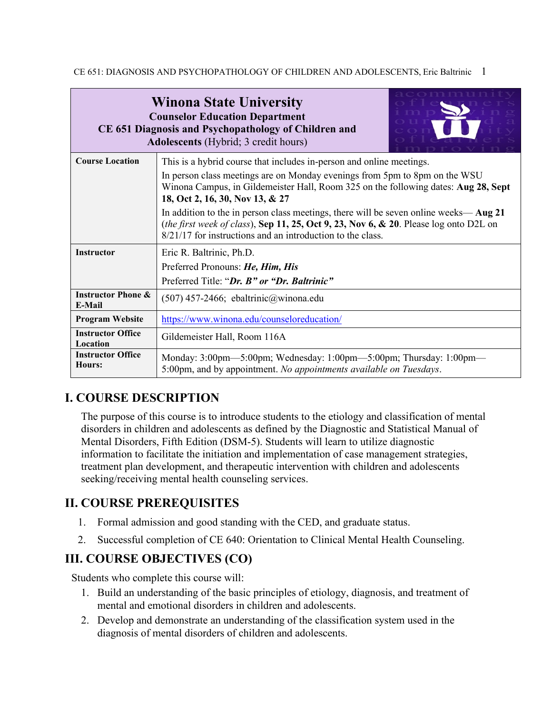| <b>Winona State University</b><br><b>Counselor Education Department</b><br>CE 651 Diagnosis and Psychopathology of Children and<br><b>Adolescents</b> (Hybrid; 3 credit hours) | $O$ mmun                                                                                                                                                                                                                                    |  |  |  |
|--------------------------------------------------------------------------------------------------------------------------------------------------------------------------------|---------------------------------------------------------------------------------------------------------------------------------------------------------------------------------------------------------------------------------------------|--|--|--|
| <b>Course Location</b>                                                                                                                                                         | This is a hybrid course that includes in-person and online meetings.                                                                                                                                                                        |  |  |  |
|                                                                                                                                                                                | In person class meetings are on Monday evenings from 5pm to 8pm on the WSU<br>Winona Campus, in Gildemeister Hall, Room 325 on the following dates: Aug 28, Sept<br>18, Oct 2, 16, 30, Nov 13, & 27                                         |  |  |  |
|                                                                                                                                                                                | In addition to the in person class meetings, there will be seven online weeks—Aug 21<br>(the first week of class), Sep 11, 25, Oct 9, 23, Nov 6, & 20. Please log onto D2L on<br>8/21/17 for instructions and an introduction to the class. |  |  |  |
| <b>Instructor</b>                                                                                                                                                              | Eric R. Baltrinic, Ph.D.                                                                                                                                                                                                                    |  |  |  |
|                                                                                                                                                                                | Preferred Pronouns: He, Him, His                                                                                                                                                                                                            |  |  |  |
|                                                                                                                                                                                | Preferred Title: "Dr. B" or "Dr. Baltrinic"                                                                                                                                                                                                 |  |  |  |
| <b>Instructor Phone &amp;</b><br>E-Mail                                                                                                                                        | $(507)$ 457-2466; ebaltrinic@winona.edu                                                                                                                                                                                                     |  |  |  |
| <b>Program Website</b>                                                                                                                                                         | https://www.winona.edu/counseloreducation/                                                                                                                                                                                                  |  |  |  |
| <b>Instructor Office</b><br>Location                                                                                                                                           | Gildemeister Hall, Room 116A                                                                                                                                                                                                                |  |  |  |
| <b>Instructor Office</b><br>Hours:                                                                                                                                             | Monday: 3:00pm—5:00pm; Wednesday: 1:00pm—5:00pm; Thursday: 1:00pm—<br>5:00pm, and by appointment. No appointments available on Tuesdays.                                                                                                    |  |  |  |

# **I. COURSE DESCRIPTION**

The purpose of this course is to introduce students to the etiology and classification of mental disorders in children and adolescents as defined by the Diagnostic and Statistical Manual of Mental Disorders, Fifth Edition (DSM-5). Students will learn to utilize diagnostic information to facilitate the initiation and implementation of case management strategies, treatment plan development, and therapeutic intervention with children and adolescents seeking/receiving mental health counseling services.

# **II. COURSE PREREQUISITES**

- 1. Formal admission and good standing with the CED, and graduate status.
- 2. Successful completion of CE 640: Orientation to Clinical Mental Health Counseling.

# **III. COURSE OBJECTIVES (CO)**

Students who complete this course will:

- 1. Build an understanding of the basic principles of etiology, diagnosis, and treatment of mental and emotional disorders in children and adolescents.
- 2. Develop and demonstrate an understanding of the classification system used in the diagnosis of mental disorders of children and adolescents.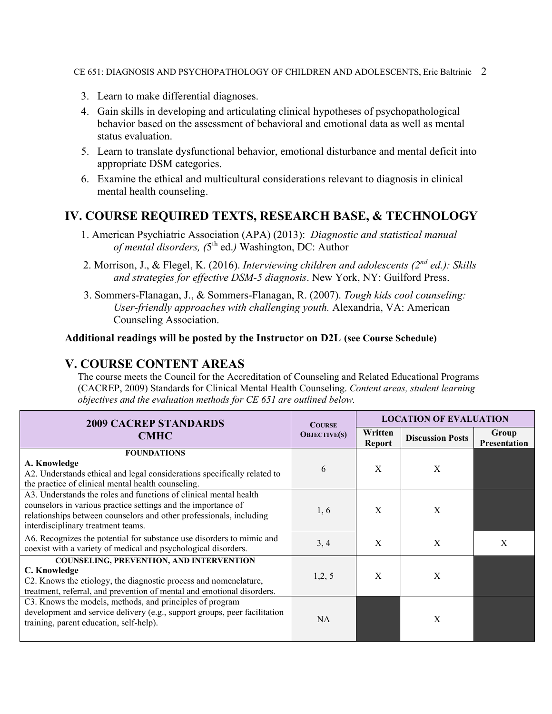- 3. Learn to make differential diagnoses.
- 4. Gain skills in developing and articulating clinical hypotheses of psychopathological behavior based on the assessment of behavioral and emotional data as well as mental status evaluation.
- 5. Learn to translate dysfunctional behavior, emotional disturbance and mental deficit into appropriate DSM categories.
- 6. Examine the ethical and multicultural considerations relevant to diagnosis in clinical mental health counseling.

# **IV. COURSE REQUIRED TEXTS, RESEARCH BASE, & TECHNOLOGY**

- 1. American Psychiatric Association (APA) (2013): *Diagnostic and statistical manual of mental disorders, (*5th ed.*)* Washington, DC: Author
- 2. Morrison, J., & Flegel, K. (2016). *Interviewing children and adolescents (2nd ed.): Skills and strategies for effective DSM-5 diagnosis*. New York, NY: Guilford Press.
- 3. Sommers-Flanagan, J., & Sommers-Flanagan, R. (2007). *Tough kids cool counseling: User-friendly approaches with challenging youth.* Alexandria, VA: American Counseling Association.

### **Additional readings will be posted by the Instructor on D2L (see Course Schedule)**

# **V. COURSE CONTENT AREAS**

The course meets the Council for the Accreditation of Counseling and Related Educational Programs (CACREP, 2009) Standards for Clinical Mental Health Counseling. *Content areas, student learning objectives and the evaluation methods for CE 651 are outlined below.*

| <b>2009 CACREP STANDARDS</b>                                                                                                                                                                                                                    | <b>COURSE</b>       |                          | <b>LOCATION OF EVALUATION</b> |                              |
|-------------------------------------------------------------------------------------------------------------------------------------------------------------------------------------------------------------------------------------------------|---------------------|--------------------------|-------------------------------|------------------------------|
| <b>CMHC</b>                                                                                                                                                                                                                                     | <b>OBJECTIVE(S)</b> | Written<br><b>Report</b> | <b>Discussion Posts</b>       | Group<br><b>Presentation</b> |
| <b>FOUNDATIONS</b><br>A. Knowledge<br>A2. Understands ethical and legal considerations specifically related to<br>the practice of clinical mental health counseling.                                                                            | 6                   | X                        | X                             |                              |
| A3. Understands the roles and functions of clinical mental health<br>counselors in various practice settings and the importance of<br>relationships between counselors and other professionals, including<br>interdisciplinary treatment teams. | 1, 6                | X                        | X                             |                              |
| A6. Recognizes the potential for substance use disorders to mimic and<br>coexist with a variety of medical and psychological disorders.                                                                                                         | 3, 4                | X                        | X                             | X                            |
| <b>COUNSELING, PREVENTION, AND INTERVENTION</b><br>C. Knowledge<br>C2. Knows the etiology, the diagnostic process and nomenclature,<br>treatment, referral, and prevention of mental and emotional disorders.                                   | 1,2,5               | X                        | X                             |                              |
| C3. Knows the models, methods, and principles of program<br>development and service delivery (e.g., support groups, peer facilitation<br>training, parent education, self-help).                                                                | NA.                 |                          | X                             |                              |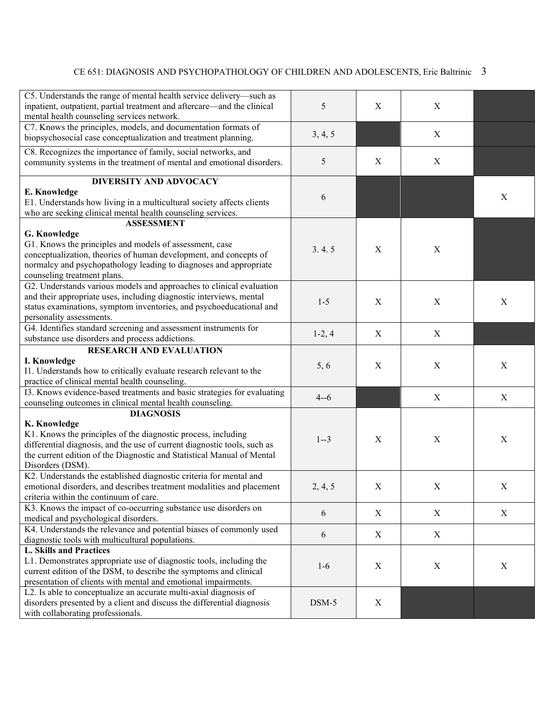| C5. Understands the range of mental health service delivery-such as      |          |             |                           |                  |
|--------------------------------------------------------------------------|----------|-------------|---------------------------|------------------|
| inpatient, outpatient, partial treatment and aftercare—and the clinical  | 5        | X           | X                         |                  |
| mental health counseling services network.                               |          |             |                           |                  |
| C7. Knows the principles, models, and documentation formats of           |          |             |                           |                  |
| biopsychosocial case conceptualization and treatment planning.           | 3, 4, 5  |             | $\boldsymbol{X}$          |                  |
|                                                                          |          |             |                           |                  |
| C8. Recognizes the importance of family, social networks, and            |          |             |                           |                  |
| community systems in the treatment of mental and emotional disorders.    | 5        | X           | X                         |                  |
| <b>DIVERSITY AND ADVOCACY</b>                                            |          |             |                           |                  |
| E. Knowledge                                                             |          |             |                           |                  |
| E1. Understands how living in a multicultural society affects clients    | 6        |             |                           | $\mathbf X$      |
| who are seeking clinical mental health counseling services.              |          |             |                           |                  |
| <b>ASSESSMENT</b>                                                        |          |             |                           |                  |
| G. Knowledge                                                             |          |             |                           |                  |
| G1. Knows the principles and models of assessment, case                  |          |             |                           |                  |
| conceptualization, theories of human development, and concepts of        | 3.4.5    | X           | $\boldsymbol{X}$          |                  |
| normalcy and psychopathology leading to diagnoses and appropriate        |          |             |                           |                  |
| counseling treatment plans.                                              |          |             |                           |                  |
| G2. Understands various models and approaches to clinical evaluation     |          |             |                           |                  |
| and their appropriate uses, including diagnostic interviews, mental      |          |             |                           |                  |
| status examinations, symptom inventories, and psychoeducational and      | $1 - 5$  | $\mathbf X$ | $\mathbf X$               | $\mathbf X$      |
| personality assessments.                                                 |          |             |                           |                  |
| G4. Identifies standard screening and assessment instruments for         |          |             |                           |                  |
| substance use disorders and process addictions.                          | $1-2, 4$ | X           | $\mathbf X$               |                  |
| <b>RESEARCH AND EVALUATION</b>                                           |          |             |                           |                  |
| I. Knowledge                                                             |          |             |                           |                  |
| I1. Understands how to critically evaluate research relevant to the      | 5, 6     | X           | X                         | X                |
| practice of clinical mental health counseling.                           |          |             |                           |                  |
| I3. Knows evidence-based treatments and basic strategies for evaluating  |          |             |                           |                  |
| counseling outcomes in clinical mental health counseling.                | $4 - 6$  |             | $\mathbf X$               | $\boldsymbol{X}$ |
| <b>DIAGNOSIS</b>                                                         |          |             |                           |                  |
| K. Knowledge                                                             |          |             |                           |                  |
| K1. Knows the principles of the diagnostic process, including            |          |             |                           |                  |
| differential diagnosis, and the use of current diagnostic tools, such as | $1 - 3$  | X           | $\mathbf X$               | $\mathbf X$      |
| the current edition of the Diagnostic and Statistical Manual of Mental   |          |             |                           |                  |
| Disorders (DSM).                                                         |          |             |                           |                  |
| K2. Understands the established diagnostic criteria for mental and       |          |             |                           |                  |
| emotional disorders, and describes treatment modalities and placement    | 2, 4, 5  | $\mathbf X$ | $\mathbf X$               | $\mathbf X$      |
| criteria within the continuum of care.                                   |          |             |                           |                  |
| K3. Knows the impact of co-occurring substance use disorders on          |          |             |                           |                  |
| medical and psychological disorders.                                     | 6        | X           | X                         | X                |
| K4. Understands the relevance and potential biases of commonly used      |          |             |                           |                  |
| diagnostic tools with multicultural populations.                         | 6        | X           | X                         |                  |
| <b>L. Skills and Practices</b>                                           |          |             |                           |                  |
| L1. Demonstrates appropriate use of diagnostic tools, including the      |          |             |                           |                  |
| current edition of the DSM, to describe the symptoms and clinical        | $1-6$    | X           | $\boldsymbol{\mathrm{X}}$ | $\mathbf X$      |
| presentation of clients with mental and emotional impairments.           |          |             |                           |                  |
| L2. Is able to conceptualize an accurate multi-axial diagnosis of        |          |             |                           |                  |
| disorders presented by a client and discuss the differential diagnosis   |          |             |                           |                  |
|                                                                          | $DSM-5$  | X           |                           |                  |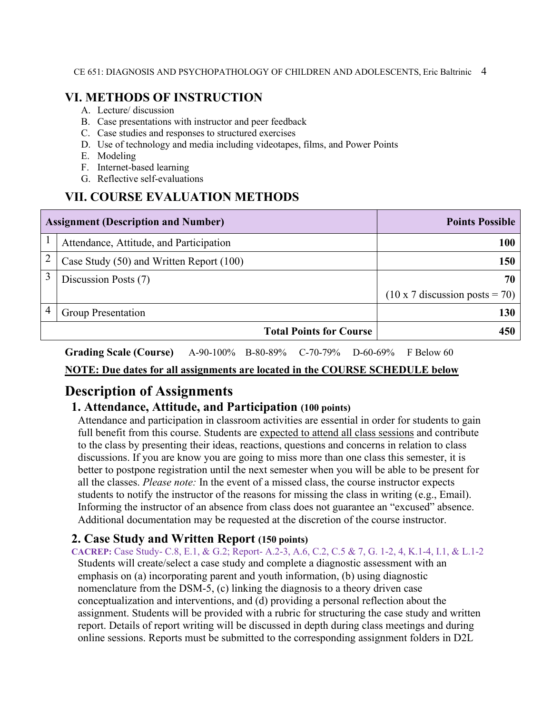## **VI. METHODS OF INSTRUCTION**

- A. Lecture/ discussion
- B. Case presentations with instructor and peer feedback
- C. Case studies and responses to structured exercises
- D. Use of technology and media including videotapes, films, and Power Points
- E. Modeling
- F. Internet-based learning
- G. Reflective self-evaluations

# **VII. COURSE EVALUATION METHODS**

|   | <b>Assignment (Description and Number)</b> | <b>Points Possible</b>                |
|---|--------------------------------------------|---------------------------------------|
|   | Attendance, Attitude, and Participation    | <b>100</b>                            |
| 2 | Case Study (50) and Written Report (100)   | 150                                   |
| 3 | Discussion Posts (7)                       | 70 I                                  |
|   |                                            | $(10 \times 7$ discussion posts = 70) |
| 4 | <b>Group Presentation</b>                  | <b>130</b>                            |
|   | <b>Total Points for Course</b>             | 450                                   |

**Grading Scale (Course)** A-90-100% B-80-89% C-70-79% D-60-69% F Below 60

### **NOTE: Due dates for all assignments are located in the COURSE SCHEDULE below**

# **Description of Assignments**

## **1. Attendance, Attitude, and Participation (100 points)**

Attendance and participation in classroom activities are essential in order for students to gain full benefit from this course. Students are expected to attend all class sessions and contribute to the class by presenting their ideas, reactions, questions and concerns in relation to class discussions. If you are know you are going to miss more than one class this semester, it is better to postpone registration until the next semester when you will be able to be present for all the classes. *Please note:* In the event of a missed class, the course instructor expects students to notify the instructor of the reasons for missing the class in writing (e.g., Email). Informing the instructor of an absence from class does not guarantee an "excused" absence. Additional documentation may be requested at the discretion of the course instructor.

## **2. Case Study and Written Report (150 points)**

**CACREP:** Case Study- C.8, E.1, & G.2; Report- A.2-3, A.6, C.2, C.5 & 7, G. 1-2, 4, K.1-4, I.1, & L.1-2 Students will create/select a case study and complete a diagnostic assessment with an emphasis on (a) incorporating parent and youth information, (b) using diagnostic nomenclature from the DSM-5, (c) linking the diagnosis to a theory driven case conceptualization and interventions, and (d) providing a personal reflection about the assignment. Students will be provided with a rubric for structuring the case study and written report. Details of report writing will be discussed in depth during class meetings and during online sessions. Reports must be submitted to the corresponding assignment folders in D2L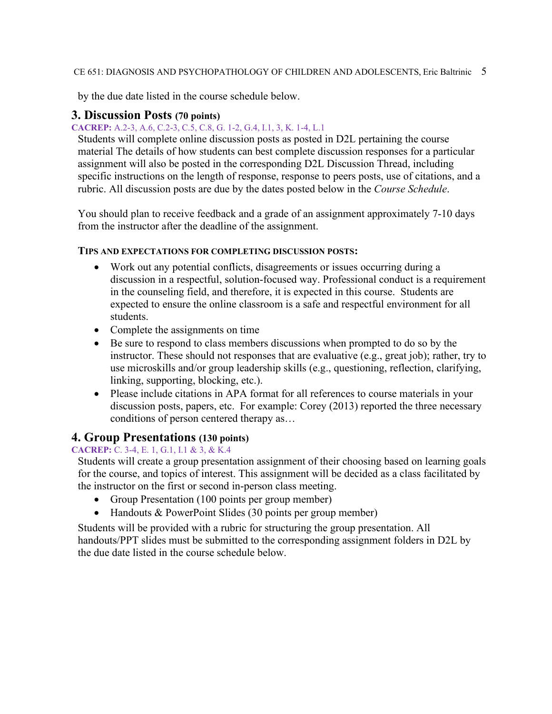by the due date listed in the course schedule below.

### **3. Discussion Posts (70 points)**

### **CACREP:** A.2-3, A.6, C.2-3, C.5, C.8, G. 1-2, G.4, I.1, 3, K. 1-4, L.1

Students will complete online discussion posts as posted in D2L pertaining the course material The details of how students can best complete discussion responses for a particular assignment will also be posted in the corresponding D2L Discussion Thread, including specific instructions on the length of response, response to peers posts, use of citations, and a rubric. All discussion posts are due by the dates posted below in the *Course Schedule*.

You should plan to receive feedback and a grade of an assignment approximately 7-10 days from the instructor after the deadline of the assignment.

### **TIPS AND EXPECTATIONS FOR COMPLETING DISCUSSION POSTS:**

- Work out any potential conflicts, disagreements or issues occurring during a discussion in a respectful, solution-focused way. Professional conduct is a requirement in the counseling field, and therefore, it is expected in this course. Students are expected to ensure the online classroom is a safe and respectful environment for all students.
- Complete the assignments on time
- Be sure to respond to class members discussions when prompted to do so by the instructor. These should not responses that are evaluative (e.g., great job); rather, try to use microskills and/or group leadership skills (e.g., questioning, reflection, clarifying, linking, supporting, blocking, etc.).
- Please include citations in APA format for all references to course materials in your discussion posts, papers, etc. For example: Corey (2013) reported the three necessary conditions of person centered therapy as…

## **4. Group Presentations (130 points)**

### **CACREP:** C. 3-4, E. 1, G.1, I.1 & 3, & K.4

Students will create a group presentation assignment of their choosing based on learning goals for the course, and topics of interest. This assignment will be decided as a class facilitated by the instructor on the first or second in-person class meeting.

- Group Presentation (100 points per group member)
- Handouts & PowerPoint Slides (30 points per group member)

Students will be provided with a rubric for structuring the group presentation. All handouts/PPT slides must be submitted to the corresponding assignment folders in D2L by the due date listed in the course schedule below.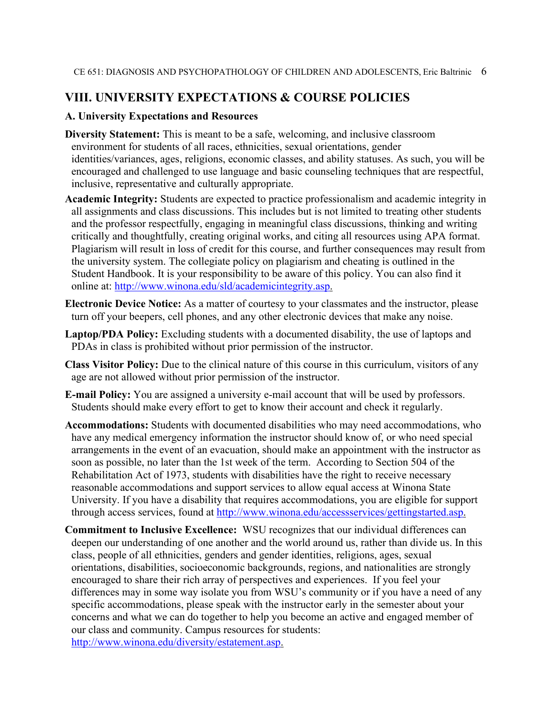# **VIII. UNIVERSITY EXPECTATIONS & COURSE POLICIES**

### **A. University Expectations and Resources**

- **Diversity Statement:** This is meant to be a safe, welcoming, and inclusive classroom environment for students of all races, ethnicities, sexual orientations, gender identities/variances, ages, religions, economic classes, and ability statuses. As such, you will be encouraged and challenged to use language and basic counseling techniques that are respectful, inclusive, representative and culturally appropriate.
- **Academic Integrity:** Students are expected to practice professionalism and academic integrity in all assignments and class discussions. This includes but is not limited to treating other students and the professor respectfully, engaging in meaningful class discussions, thinking and writing critically and thoughtfully, creating original works, and citing all resources using APA format. Plagiarism will result in loss of credit for this course, and further consequences may result from the university system. The collegiate policy on plagiarism and cheating is outlined in the Student Handbook. It is your responsibility to be aware of this policy. You can also find it online at: [http://www.winona.edu/sld/academicintegrity.asp.](http://www.winona.edu/sld/academicintegrity.asp)
- **Electronic Device Notice:** As a matter of courtesy to your classmates and the instructor, please turn off your beepers, cell phones, and any other electronic devices that make any noise.
- **Laptop/PDA Policy:** Excluding students with a documented disability, the use of laptops and PDAs in class is prohibited without prior permission of the instructor.
- **Class Visitor Policy:** Due to the clinical nature of this course in this curriculum, visitors of any age are not allowed without prior permission of the instructor.
- **E-mail Policy:** You are assigned a university e-mail account that will be used by professors. Students should make every effort to get to know their account and check it regularly.
- **Accommodations:** Students with documented disabilities who may need accommodations, who have any medical emergency information the instructor should know of, or who need special arrangements in the event of an evacuation, should make an appointment with the instructor as soon as possible, no later than the 1st week of the term. According to Section 504 of the Rehabilitation Act of 1973, students with disabilities have the right to receive necessary reasonable accommodations and support services to allow equal access at Winona State University. If you have a disability that requires accommodations, you are eligible for support through access services, found at [http://www.winona.edu/accessservices/gettingstarted.asp.](http://www.winona.edu/accessservices/gettingstarted.asp)
- **Commitment to Inclusive Excellence:** WSU recognizes that our individual differences can deepen our understanding of one another and the world around us, rather than divide us. In this class, people of all ethnicities, genders and gender identities, religions, ages, sexual orientations, disabilities, socioeconomic backgrounds, regions, and nationalities are strongly encouraged to share their rich array of perspectives and experiences. If you feel your differences may in some way isolate you from WSU's community or if you have a need of any specific accommodations, please speak with the instructor early in the semester about your concerns and what we can do together to help you become an active and engaged member of our class and community. Campus resources for students: [http://www.winona.edu/diversity/estatement.asp.](http://www.winona.edu/diversity/estatement.asp)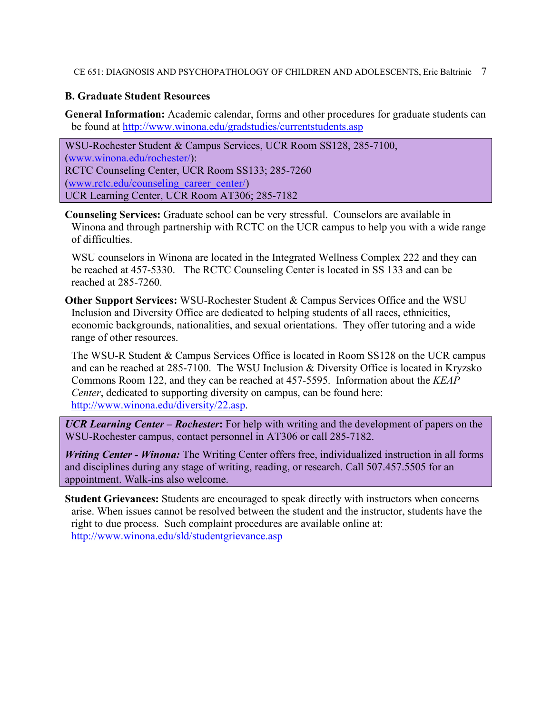### **B. Graduate Student Resources**

**General Information:** Academic calendar, forms and other procedures for graduate students can be found at<http://www.winona.edu/gradstudies/currentstudents.asp>

WSU-Rochester Student & Campus Services, UCR Room SS128, 285-7100, [\(www.winona.edu/rochester/\)](http://www.winona.edu/rochester/): RCTC Counseling Center, UCR Room SS133; 285-7260 [\(www.rctc.edu/counseling\\_career\\_center/\)](http://www.rctc.edu/counseling_career_center/) UCR Learning Center, UCR Room AT306; 285-7182

**Counseling Services:** Graduate school can be very stressful. Counselors are available in Winona and through partnership with RCTC on the UCR campus to help you with a wide range of difficulties.

WSU counselors in Winona are located in the Integrated Wellness Complex 222 and they can be reached at 457-5330. The RCTC Counseling Center is located in SS 133 and can be reached at 285-7260.

**Other Support Services:** WSU-Rochester Student & Campus Services Office and the WSU Inclusion and Diversity Office are dedicated to helping students of all races, ethnicities, economic backgrounds, nationalities, and sexual orientations. They offer tutoring and a wide range of other resources.

The WSU-R Student & Campus Services Office is located in Room SS128 on the UCR campus and can be reached at 285-7100. The WSU Inclusion & Diversity Office is located in Kryzsko Commons Room 122, and they can be reached at 457-5595. Information about the *KEAP Center*, dedicated to supporting diversity on campus, can be found here: [http://www.winona.edu/diversity/22.asp.](http://www.winona.edu/diversity/22.asp)

*UCR Learning Center – Rochester***:** For help with writing and the development of papers on the WSU-Rochester campus, contact personnel in AT306 or call 285-7182.

*Writing Center - Winona:* The Writing Center offers free, individualized instruction in all forms and disciplines during any stage of writing, reading, or research. Call 507.457.5505 for an appointment. Walk-ins also welcome.

**Student Grievances:** Students are encouraged to speak directly with instructors when concerns arise. When issues cannot be resolved between the student and the instructor, students have the right to due process. Such complaint procedures are available online at: <http://www.winona.edu/sld/studentgrievance.asp>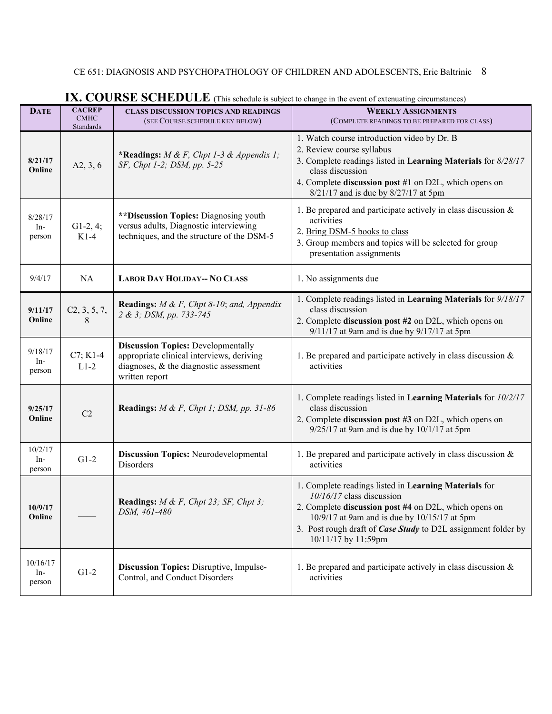| <b>DATE</b>                | <b>CACREP</b><br><b>CMHC</b><br>Standards | <b>CLASS DISCUSSION TOPICS AND READINGS</b><br>(SEE COURSE SCHEDULE KEY BELOW)                                                                     | <b>WEEKLY ASSIGNMENTS</b><br>(COMPLETE READINGS TO BE PREPARED FOR CLASS)                                                                                                                                                                                                             |
|----------------------------|-------------------------------------------|----------------------------------------------------------------------------------------------------------------------------------------------------|---------------------------------------------------------------------------------------------------------------------------------------------------------------------------------------------------------------------------------------------------------------------------------------|
| 8/21/17<br>Online          | A2, 3, 6                                  | *Readings: $M \& F$ , Chpt 1-3 & Appendix 1;<br>SF, Chpt 1-2; DSM, pp. 5-25                                                                        | 1. Watch course introduction video by Dr. B<br>2. Review course syllabus<br>3. Complete readings listed in Learning Materials for 8/28/17<br>class discussion<br>4. Complete discussion post #1 on D2L, which opens on<br>8/21/17 and is due by 8/27/17 at 5pm                        |
| 8/28/17<br>In-<br>person   | $G1-2, 4;$<br>$K1-4$                      | **Discussion Topics: Diagnosing youth<br>versus adults, Diagnostic interviewing<br>techniques, and the structure of the DSM-5                      | 1. Be prepared and participate actively in class discussion $\&$<br>activities<br>2. Bring DSM-5 books to class<br>3. Group members and topics will be selected for group<br>presentation assignments                                                                                 |
| 9/4/17                     | NA                                        | <b>LABOR DAY HOLIDAY-- NO CLASS</b>                                                                                                                | 1. No assignments due                                                                                                                                                                                                                                                                 |
| 9/11/17<br>Online          | C2, 3, 5, 7,<br>8                         | <b>Readings:</b> $M \& F$ , Chpt 8-10; and, Appendix<br>2 & 3; DSM, pp. 733-745                                                                    | 1. Complete readings listed in Learning Materials for 9/18/17<br>class discussion<br>2. Complete discussion post #2 on D2L, which opens on<br>9/11/17 at 9am and is due by 9/17/17 at 5pm                                                                                             |
| 9/18/17<br>In-<br>person   | $C7; K1-4$<br>$L1-2$                      | <b>Discussion Topics: Developmentally</b><br>appropriate clinical interviews, deriving<br>diagnoses, & the diagnostic assessment<br>written report | 1. Be prepared and participate actively in class discussion $\&$<br>activities                                                                                                                                                                                                        |
| 9/25/17<br>Online          | C2                                        | Readings: $M \& F$ , Chpt 1; DSM, pp. 31-86                                                                                                        | 1. Complete readings listed in Learning Materials for 10/2/17<br>class discussion<br>2. Complete discussion post #3 on D2L, which opens on<br>$9/25/17$ at 9am and is due by $10/1/17$ at 5pm                                                                                         |
| 10/2/17<br>$In-$<br>person | $G1-2$                                    | <b>Discussion Topics: Neurodevelopmental</b><br>Disorders                                                                                          | 1. Be prepared and participate actively in class discussion $\&$<br>activities                                                                                                                                                                                                        |
| 10/9/17<br>Online          |                                           | <b>Readings:</b> $M \& F$ , Chpt 23; SF, Chpt 3;<br>DSM, 461-480                                                                                   | 1. Complete readings listed in Learning Materials for<br>$10/16/17$ class discussion<br>2. Complete discussion post #4 on D2L, which opens on<br>10/9/17 at 9am and is due by 10/15/17 at 5pm<br>3. Post rough draft of Case Study to D2L assignment folder by<br>10/11/17 by 11:59pm |
| 10/16/17<br>In-<br>person  | $G1-2$                                    | <b>Discussion Topics: Disruptive, Impulse-</b><br>Control, and Conduct Disorders                                                                   | 1. Be prepared and participate actively in class discussion $\&$<br>activities                                                                                                                                                                                                        |

# **IX. COURSE SCHEDULE** (This schedule is subject to change in the event of extenuating circumstances)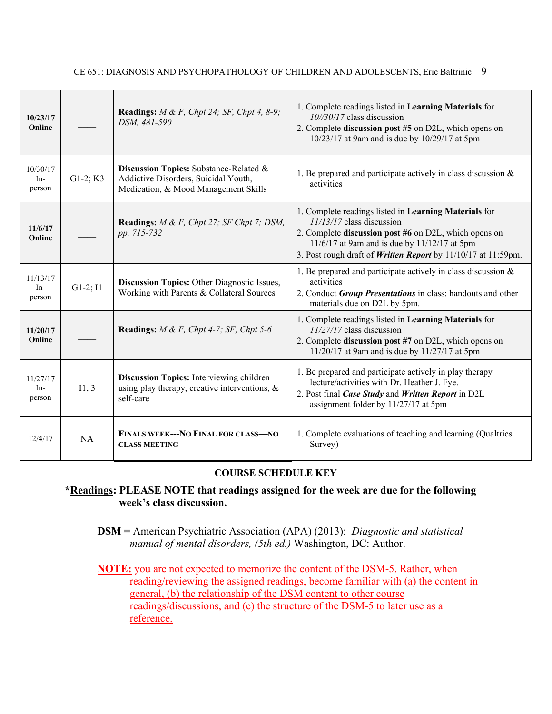| 10/23/17<br>Online          |            | <b>Readings:</b> $M \& F$ , Chpt 24; SF, Chpt 4, 8-9;<br>DSM, 481-590                                                  | 1. Complete readings listed in Learning Materials for<br>$10\frac{1}{30}$ /17 class discussion<br>2. Complete discussion post #5 on D2L, which opens on<br>10/23/17 at 9am and is due by 10/29/17 at 5pm                                                              |
|-----------------------------|------------|------------------------------------------------------------------------------------------------------------------------|-----------------------------------------------------------------------------------------------------------------------------------------------------------------------------------------------------------------------------------------------------------------------|
| 10/30/17<br>$In-$<br>person | $G1-2; K3$ | Discussion Topics: Substance-Related &<br>Addictive Disorders, Suicidal Youth,<br>Medication, & Mood Management Skills | 1. Be prepared and participate actively in class discussion $\&$<br>activities                                                                                                                                                                                        |
| 11/6/17<br>Online           |            | <b>Readings:</b> $M \& F$ , Chpt 27; SF Chpt 7; DSM,<br>pp. 715-732                                                    | 1. Complete readings listed in Learning Materials for<br>$11/13/17$ class discussion<br>2. Complete <b>discussion post #6</b> on D2L, which opens on<br>11/6/17 at 9am and is due by 11/12/17 at 5pm<br>3. Post rough draft of Written Report by 11/10/17 at 11:59pm. |
| 11/13/17<br>$In-$<br>person | $G1-2; I1$ | <b>Discussion Topics:</b> Other Diagnostic Issues,<br>Working with Parents & Collateral Sources                        | 1. Be prepared and participate actively in class discussion $\&$<br>activities<br>2. Conduct Group Presentations in class; handouts and other<br>materials due on D2L by 5pm.                                                                                         |
| 11/20/17<br>Online          |            | <b>Readings:</b> $M \& F$ , Chpt 4-7; SF, Chpt 5-6                                                                     | 1. Complete readings listed in <b>Learning Materials</b> for<br>$11/27/17$ class discussion<br>2. Complete discussion post #7 on D2L, which opens on<br>11/20/17 at 9am and is due by 11/27/17 at 5pm                                                                 |
| 11/27/17<br>In-<br>person   | I1, 3      | Discussion Topics: Interviewing children<br>using play therapy, creative interventions, $\&$<br>self-care              | 1. Be prepared and participate actively in play therapy<br>lecture/activities with Dr. Heather J. Fye.<br>2. Post final Case Study and Written Report in D2L<br>assignment folder by 11/27/17 at 5pm                                                                  |
| 12/4/17                     | <b>NA</b>  | <b>FINALS WEEK--- NO FINAL FOR CLASS-NO</b><br><b>CLASS MEETING</b>                                                    | 1. Complete evaluations of teaching and learning (Qualtrics<br>Survey)                                                                                                                                                                                                |

### **COURSE SCHEDULE KEY**

**\*Readings: PLEASE NOTE that readings assigned for the week are due for the following week's class discussion.**

**DSM =** American Psychiatric Association (APA) (2013): *Diagnostic and statistical manual of mental disorders, (5th ed.)* Washington, DC: Author.

**NOTE:** you are not expected to memorize the content of the DSM-5. Rather, when reading/reviewing the assigned readings, become familiar with (a) the content in general, (b) the relationship of the DSM content to other course readings/discussions, and (c) the structure of the DSM-5 to later use as a reference.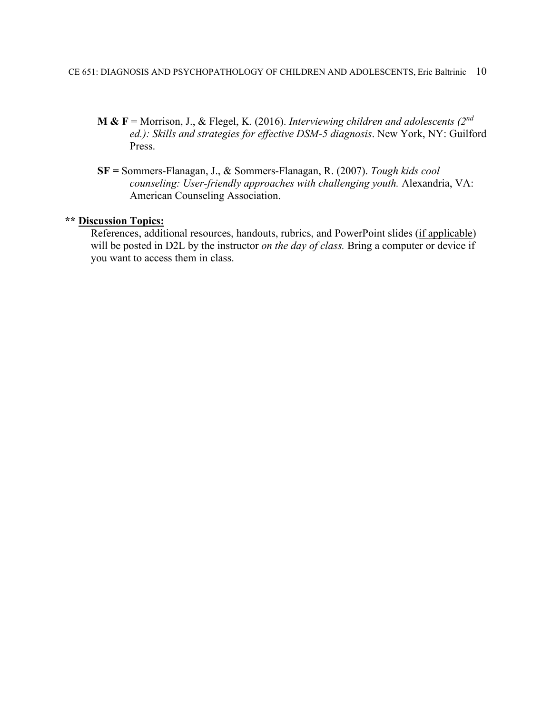- **M & F** = Morrison, J., & Flegel, K. (2016). *Interviewing children and adolescents (2nd ed.): Skills and strategies for effective DSM-5 diagnosis*. New York, NY: Guilford Press.
- **SF =** Sommers-Flanagan, J., & Sommers-Flanagan, R. (2007). *Tough kids cool counseling: User-friendly approaches with challenging youth.* Alexandria, VA: American Counseling Association.

### **\*\* Discussion Topics:**

References, additional resources, handouts, rubrics, and PowerPoint slides (if applicable) will be posted in D2L by the instructor *on the day of class.* Bring a computer or device if you want to access them in class.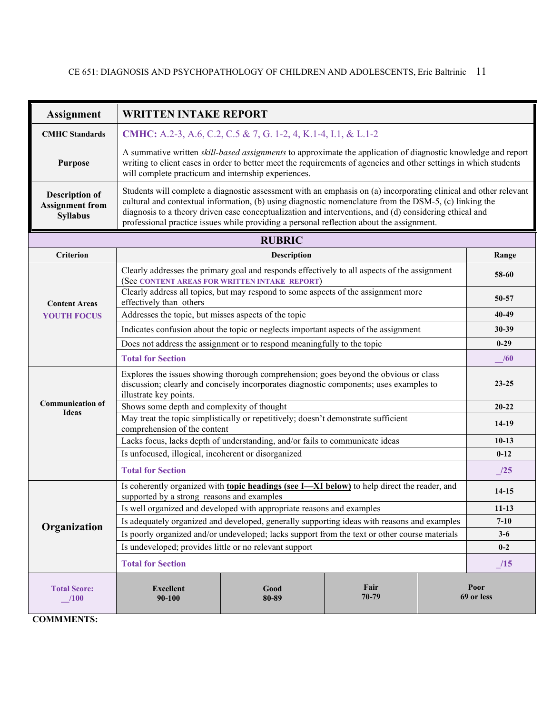| <b>Assignment</b>                                                  | <b>WRITTEN INTAKE REPORT</b>                                                                                                                                                                                                                                                                                                                                                                                                     |                                                                                                                                                                                                                                    |  |  |           |
|--------------------------------------------------------------------|----------------------------------------------------------------------------------------------------------------------------------------------------------------------------------------------------------------------------------------------------------------------------------------------------------------------------------------------------------------------------------------------------------------------------------|------------------------------------------------------------------------------------------------------------------------------------------------------------------------------------------------------------------------------------|--|--|-----------|
| <b>CMHC</b> Standards                                              | <b>CMHC:</b> A.2-3, A.6, C.2, C.5 & 7, G. 1-2, 4, K.1-4, I.1, & L.1-2                                                                                                                                                                                                                                                                                                                                                            |                                                                                                                                                                                                                                    |  |  |           |
| <b>Purpose</b>                                                     | will complete practicum and internship experiences.                                                                                                                                                                                                                                                                                                                                                                              | A summative written skill-based assignments to approximate the application of diagnostic knowledge and report<br>writing to client cases in order to better meet the requirements of agencies and other settings in which students |  |  |           |
| <b>Description of</b><br><b>Assignment from</b><br><b>Syllabus</b> | Students will complete a diagnostic assessment with an emphasis on (a) incorporating clinical and other relevant<br>cultural and contextual information, (b) using diagnostic nomenclature from the DSM-5, (c) linking the<br>diagnosis to a theory driven case conceptualization and interventions, and (d) considering ethical and<br>professional practice issues while providing a personal reflection about the assignment. |                                                                                                                                                                                                                                    |  |  |           |
|                                                                    |                                                                                                                                                                                                                                                                                                                                                                                                                                  | <b>RUBRIC</b>                                                                                                                                                                                                                      |  |  |           |
| <b>Criterion</b>                                                   |                                                                                                                                                                                                                                                                                                                                                                                                                                  | Description                                                                                                                                                                                                                        |  |  | Range     |
|                                                                    |                                                                                                                                                                                                                                                                                                                                                                                                                                  | Clearly addresses the primary goal and responds effectively to all aspects of the assignment<br>(See CONTENT AREAS FOR WRITTEN INTAKE REPORT)                                                                                      |  |  | 58-60     |
| <b>Content Areas</b>                                               | effectively than others                                                                                                                                                                                                                                                                                                                                                                                                          | Clearly address all topics, but may respond to some aspects of the assignment more                                                                                                                                                 |  |  | 50-57     |
| <b>YOUTH FOCUS</b>                                                 | Addresses the topic, but misses aspects of the topic<br>40-49                                                                                                                                                                                                                                                                                                                                                                    |                                                                                                                                                                                                                                    |  |  |           |
|                                                                    | Indicates confusion about the topic or neglects important aspects of the assignment<br>Does not address the assignment or to respond meaningfully to the topic                                                                                                                                                                                                                                                                   |                                                                                                                                                                                                                                    |  |  |           |
|                                                                    |                                                                                                                                                                                                                                                                                                                                                                                                                                  |                                                                                                                                                                                                                                    |  |  |           |
|                                                                    | <b>Total for Section</b><br>/60                                                                                                                                                                                                                                                                                                                                                                                                  |                                                                                                                                                                                                                                    |  |  |           |
|                                                                    | illustrate key points.                                                                                                                                                                                                                                                                                                                                                                                                           | Explores the issues showing thorough comprehension; goes beyond the obvious or class<br>discussion; clearly and concisely incorporates diagnostic components; uses examples to                                                     |  |  | $23 - 25$ |
| <b>Communication of</b><br>Ideas                                   | Shows some depth and complexity of thought                                                                                                                                                                                                                                                                                                                                                                                       |                                                                                                                                                                                                                                    |  |  | $20 - 22$ |
|                                                                    | comprehension of the content                                                                                                                                                                                                                                                                                                                                                                                                     | May treat the topic simplistically or repetitively; doesn't demonstrate sufficient                                                                                                                                                 |  |  | 14-19     |
|                                                                    |                                                                                                                                                                                                                                                                                                                                                                                                                                  | Lacks focus, lacks depth of understanding, and/or fails to communicate ideas                                                                                                                                                       |  |  | $10-13$   |
|                                                                    | Is unfocused, illogical, incoherent or disorganized                                                                                                                                                                                                                                                                                                                                                                              |                                                                                                                                                                                                                                    |  |  | $0 - 12$  |
|                                                                    | <b>Total for Section</b><br>$\frac{1}{2}$                                                                                                                                                                                                                                                                                                                                                                                        |                                                                                                                                                                                                                                    |  |  |           |
|                                                                    | Is coherently organized with topic headings (see I-XI below) to help direct the reader, and<br>14-15<br>supported by a strong reasons and examples                                                                                                                                                                                                                                                                               |                                                                                                                                                                                                                                    |  |  |           |
|                                                                    |                                                                                                                                                                                                                                                                                                                                                                                                                                  | Is well organized and developed with appropriate reasons and examples                                                                                                                                                              |  |  | $11 - 13$ |
| Organization                                                       | Is adequately organized and developed, generally supporting ideas with reasons and examples<br>$7 - 10$                                                                                                                                                                                                                                                                                                                          |                                                                                                                                                                                                                                    |  |  |           |
|                                                                    |                                                                                                                                                                                                                                                                                                                                                                                                                                  | Is poorly organized and/or undeveloped; lacks support from the text or other course materials                                                                                                                                      |  |  | $3 - 6$   |
|                                                                    | Is undeveloped; provides little or no relevant support                                                                                                                                                                                                                                                                                                                                                                           |                                                                                                                                                                                                                                    |  |  | $0-2$     |
|                                                                    | <b>Total for Section</b><br>15                                                                                                                                                                                                                                                                                                                                                                                                   |                                                                                                                                                                                                                                    |  |  |           |
| <b>Total Score:</b><br>100                                         | Fair<br>Poor<br><b>Excellent</b><br>Good<br>70-79<br>69 or less<br>90-100<br>80-89                                                                                                                                                                                                                                                                                                                                               |                                                                                                                                                                                                                                    |  |  |           |

**COMMMENTS:**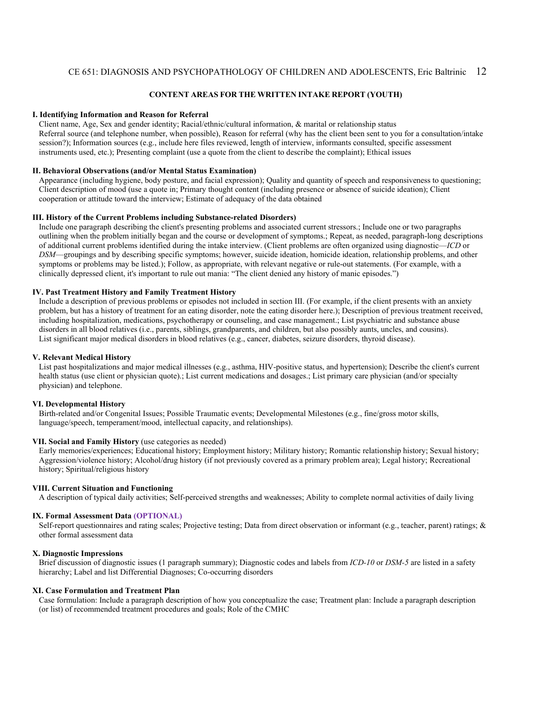#### **CONTENT AREAS FOR THE WRITTEN INTAKE REPORT (YOUTH)**

#### **I. Identifying Information and Reason for Referral**

Client name, Age, Sex and gender identity; Racial/ethnic/cultural information, & marital or relationship status Referral source (and telephone number, when possible), Reason for referral (why has the client been sent to you for a consultation/intake session?); Information sources (e.g., include here files reviewed, length of interview, informants consulted, specific assessment instruments used, etc.); Presenting complaint (use a quote from the client to describe the complaint); Ethical issues

#### **II. Behavioral Observations (and/or Mental Status Examination)**

Appearance (including hygiene, body posture, and facial expression); Quality and quantity of speech and responsiveness to questioning; Client description of mood (use a quote in; Primary thought content (including presence or absence of suicide ideation); Client cooperation or attitude toward the interview; Estimate of adequacy of the data obtained

#### **III. History of the Current Problems including Substance-related Disorders)**

Include one paragraph describing the client's presenting problems and associated current stressors.; Include one or two paragraphs outlining when the problem initially began and the course or development of symptoms.; Repeat, as needed, paragraph-long descriptions of additional current problems identified during the intake interview. (Client problems are often organized using diagnostic—*ICD* or *DSM*—groupings and by describing specific symptoms; however, suicide ideation, homicide ideation, relationship problems, and other symptoms or problems may be listed.); Follow, as appropriate, with relevant negative or rule-out statements. (For example, with a clinically depressed client, it's important to rule out mania: "The client denied any history of manic episodes.")

#### **IV. Past Treatment History and Family Treatment History**

Include a description of previous problems or episodes not included in section III. (For example, if the client presents with an anxiety problem, but has a history of treatment for an eating disorder, note the eating disorder here.); Description of previous treatment received, including hospitalization, medications, psychotherapy or counseling, and case management.; List psychiatric and substance abuse disorders in all blood relatives (i.e., parents, siblings, grandparents, and children, but also possibly aunts, uncles, and cousins). List significant major medical disorders in blood relatives (e.g., cancer, diabetes, seizure disorders, thyroid disease).

#### **V. Relevant Medical History**

List past hospitalizations and major medical illnesses (e.g., asthma, HIV-positive status, and hypertension); Describe the client's current health status (use client or physician quote).; List current medications and dosages.; List primary care physician (and/or specialty physician) and telephone.

#### **VI. Developmental History**

Birth-related and/or Congenital Issues; Possible Traumatic events; Developmental Milestones (e.g., fine/gross motor skills, language/speech, temperament/mood, intellectual capacity, and relationships).

#### **VII. Social and Family History** (use categories as needed)

Early memories/experiences; Educational history; Employment history; Military history; Romantic relationship history; Sexual history; Aggression/violence history; Alcohol/drug history (if not previously covered as a primary problem area); Legal history; Recreational history; Spiritual/religious history

#### **VIII. Current Situation and Functioning**

A description of typical daily activities; Self-perceived strengths and weaknesses; Ability to complete normal activities of daily living

#### **IX. Formal Assessment Data (OPTIONAL)**

Self-report questionnaires and rating scales; Projective testing; Data from direct observation or informant (e.g., teacher, parent) ratings; & other formal assessment data

#### **X. Diagnostic Impressions**

Brief discussion of diagnostic issues (1 paragraph summary); Diagnostic codes and labels from *ICD-10* or *DSM-5* are listed in a safety hierarchy; Label and list Differential Diagnoses; Co-occurring disorders

#### **XI. Case Formulation and Treatment Plan**

Case formulation: Include a paragraph description of how you conceptualize the case; Treatment plan: Include a paragraph description (or list) of recommended treatment procedures and goals; Role of the CMHC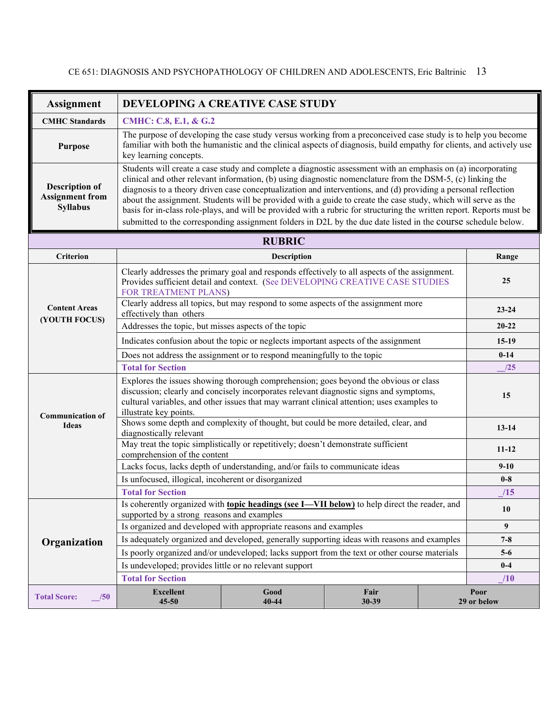| <b>Assignment</b>                                                  | DEVELOPING A CREATIVE CASE STUDY                                                                                                                                                                                                                                                                                                                                                                                                                                                                                                                                                                                                                                                                         |                                                                                                                                                                                                                                      |  |  |           |
|--------------------------------------------------------------------|----------------------------------------------------------------------------------------------------------------------------------------------------------------------------------------------------------------------------------------------------------------------------------------------------------------------------------------------------------------------------------------------------------------------------------------------------------------------------------------------------------------------------------------------------------------------------------------------------------------------------------------------------------------------------------------------------------|--------------------------------------------------------------------------------------------------------------------------------------------------------------------------------------------------------------------------------------|--|--|-----------|
| <b>CMHC</b> Standards                                              | CMHC: C.8, E.1, & G.2                                                                                                                                                                                                                                                                                                                                                                                                                                                                                                                                                                                                                                                                                    |                                                                                                                                                                                                                                      |  |  |           |
| <b>Purpose</b>                                                     | key learning concepts.                                                                                                                                                                                                                                                                                                                                                                                                                                                                                                                                                                                                                                                                                   | The purpose of developing the case study versus working from a preconceived case study is to help you become<br>familiar with both the humanistic and the clinical aspects of diagnosis, build empathy for clients, and actively use |  |  |           |
| <b>Description of</b><br><b>Assignment from</b><br><b>Syllabus</b> | Students will create a case study and complete a diagnostic assessment with an emphasis on (a) incorporating<br>clinical and other relevant information, (b) using diagnostic nomenclature from the DSM-5, (c) linking the<br>diagnosis to a theory driven case conceptualization and interventions, and (d) providing a personal reflection<br>about the assignment. Students will be provided with a guide to create the case study, which will serve as the<br>basis for in-class role-plays, and will be provided with a rubric for structuring the written report. Reports must be<br>submitted to the corresponding assignment folders in D2L by the due date listed in the course schedule below. |                                                                                                                                                                                                                                      |  |  |           |
|                                                                    |                                                                                                                                                                                                                                                                                                                                                                                                                                                                                                                                                                                                                                                                                                          | <b>RUBRIC</b>                                                                                                                                                                                                                        |  |  |           |
| <b>Criterion</b>                                                   |                                                                                                                                                                                                                                                                                                                                                                                                                                                                                                                                                                                                                                                                                                          | Description                                                                                                                                                                                                                          |  |  | Range     |
|                                                                    | FOR TREATMENT PLANS)                                                                                                                                                                                                                                                                                                                                                                                                                                                                                                                                                                                                                                                                                     | Clearly addresses the primary goal and responds effectively to all aspects of the assignment.<br>Provides sufficient detail and context. (See DEVELOPING CREATIVE CASE STUDIES                                                       |  |  | 25        |
| <b>Content Areas</b><br>(YOUTH FOCUS)                              | Clearly address all topics, but may respond to some aspects of the assignment more<br>$23 - 24$<br>effectively than others                                                                                                                                                                                                                                                                                                                                                                                                                                                                                                                                                                               |                                                                                                                                                                                                                                      |  |  |           |
|                                                                    | Addresses the topic, but misses aspects of the topic<br>$20 - 22$                                                                                                                                                                                                                                                                                                                                                                                                                                                                                                                                                                                                                                        |                                                                                                                                                                                                                                      |  |  |           |
|                                                                    | Indicates confusion about the topic or neglects important aspects of the assignment<br>$15-19$                                                                                                                                                                                                                                                                                                                                                                                                                                                                                                                                                                                                           |                                                                                                                                                                                                                                      |  |  |           |
|                                                                    | Does not address the assignment or to respond meaningfully to the topic<br>$0 - 14$                                                                                                                                                                                                                                                                                                                                                                                                                                                                                                                                                                                                                      |                                                                                                                                                                                                                                      |  |  |           |
|                                                                    | <b>Total for Section</b>                                                                                                                                                                                                                                                                                                                                                                                                                                                                                                                                                                                                                                                                                 |                                                                                                                                                                                                                                      |  |  | /25       |
| <b>Communication of</b>                                            | Explores the issues showing thorough comprehension; goes beyond the obvious or class<br>discussion; clearly and concisely incorporates relevant diagnostic signs and symptoms,<br>15<br>cultural variables, and other issues that may warrant clinical attention; uses examples to<br>illustrate key points.                                                                                                                                                                                                                                                                                                                                                                                             |                                                                                                                                                                                                                                      |  |  |           |
| <b>Ideas</b>                                                       | diagnostically relevant                                                                                                                                                                                                                                                                                                                                                                                                                                                                                                                                                                                                                                                                                  | Shows some depth and complexity of thought, but could be more detailed, clear, and                                                                                                                                                   |  |  | $13 - 14$ |
|                                                                    | comprehension of the content                                                                                                                                                                                                                                                                                                                                                                                                                                                                                                                                                                                                                                                                             | May treat the topic simplistically or repetitively; doesn't demonstrate sufficient                                                                                                                                                   |  |  | $11 - 12$ |
|                                                                    |                                                                                                                                                                                                                                                                                                                                                                                                                                                                                                                                                                                                                                                                                                          | Lacks focus, lacks depth of understanding, and/or fails to communicate ideas                                                                                                                                                         |  |  | $9 - 10$  |
|                                                                    | Is unfocused, illogical, incoherent or disorganized<br>$0-8$                                                                                                                                                                                                                                                                                                                                                                                                                                                                                                                                                                                                                                             |                                                                                                                                                                                                                                      |  |  |           |
|                                                                    | <b>Total for Section</b>                                                                                                                                                                                                                                                                                                                                                                                                                                                                                                                                                                                                                                                                                 |                                                                                                                                                                                                                                      |  |  | /15       |
|                                                                    | Is coherently organized with topic headings (see I-VII below) to help direct the reader, and<br>10<br>supported by a strong reasons and examples                                                                                                                                                                                                                                                                                                                                                                                                                                                                                                                                                         |                                                                                                                                                                                                                                      |  |  |           |
|                                                                    |                                                                                                                                                                                                                                                                                                                                                                                                                                                                                                                                                                                                                                                                                                          | Is organized and developed with appropriate reasons and examples                                                                                                                                                                     |  |  | 9         |
| Organization                                                       |                                                                                                                                                                                                                                                                                                                                                                                                                                                                                                                                                                                                                                                                                                          | Is adequately organized and developed, generally supporting ideas with reasons and examples                                                                                                                                          |  |  | $7 - 8$   |
|                                                                    |                                                                                                                                                                                                                                                                                                                                                                                                                                                                                                                                                                                                                                                                                                          | Is poorly organized and/or undeveloped; lacks support from the text or other course materials                                                                                                                                        |  |  | $5-6$     |
|                                                                    | Is undeveloped; provides little or no relevant support                                                                                                                                                                                                                                                                                                                                                                                                                                                                                                                                                                                                                                                   |                                                                                                                                                                                                                                      |  |  | $0-4$     |
|                                                                    | <b>Total for Section</b><br>/10                                                                                                                                                                                                                                                                                                                                                                                                                                                                                                                                                                                                                                                                          |                                                                                                                                                                                                                                      |  |  |           |
| <b>Total Score:</b><br>/50                                         | <b>Excellent</b><br>Good<br>Fair<br>Poor<br>40-44<br>30-39<br>29 or below<br>45-50                                                                                                                                                                                                                                                                                                                                                                                                                                                                                                                                                                                                                       |                                                                                                                                                                                                                                      |  |  |           |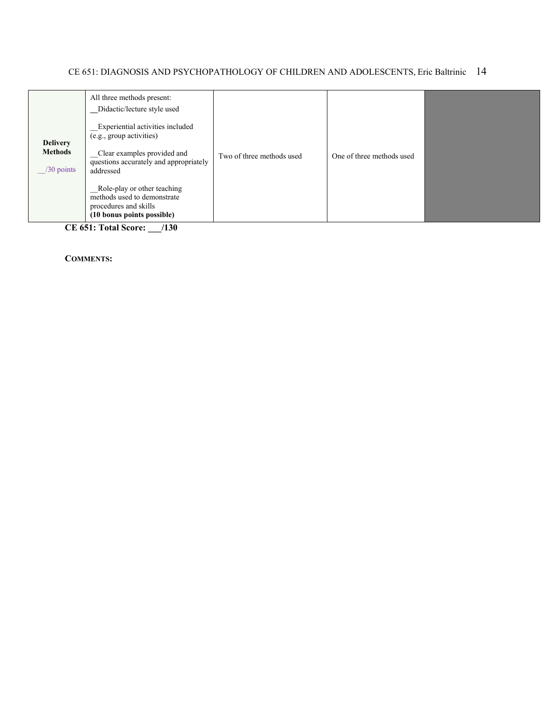| <b>Delivery</b><br><b>Methods</b><br>$/30$ points | All three methods present:<br>Didactic/lecture style used<br>Experiential activities included<br>(e.g., group activities)<br>_Clear examples provided and<br>questions accurately and appropriately<br>addressed<br>Role-play or other teaching<br>methods used to demonstrate<br>procedures and skills<br>(10 bonus points possible) | Two of three methods used | One of three methods used |  |
|---------------------------------------------------|---------------------------------------------------------------------------------------------------------------------------------------------------------------------------------------------------------------------------------------------------------------------------------------------------------------------------------------|---------------------------|---------------------------|--|
|---------------------------------------------------|---------------------------------------------------------------------------------------------------------------------------------------------------------------------------------------------------------------------------------------------------------------------------------------------------------------------------------------|---------------------------|---------------------------|--|

**CE 651: Total Score: \_\_\_/130**

**COMMENTS:**